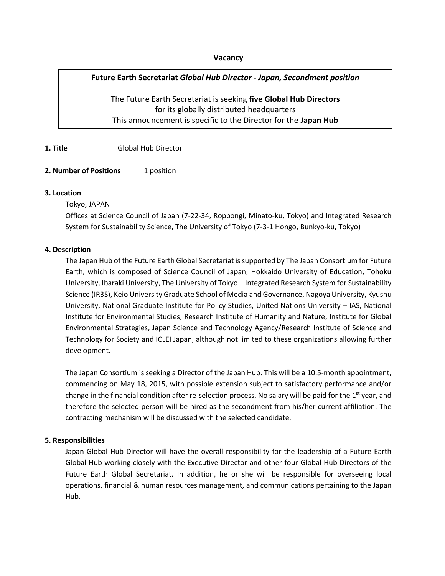## **Vacancy**

# **Future Earth Secretariat** *Global Hub Director - Japan, Secondment position*

The Future Earth Secretariat is seeking **five Global Hub Directors** for its globally distributed headquarters This announcement is specific to the Director for the **Japan Hub**

## **1. Title** Global Hub Director

### **2. Number of Positions** 1 position

#### **3. Location**

### Tokyo, JAPAN

Offices at Science Council of Japan (7-22-34, Roppongi, Minato-ku, Tokyo) and Integrated Research System for Sustainability Science, The University of Tokyo (7-3-1 Hongo, Bunkyo-ku, Tokyo)

### **4. Description**

The Japan Hub of the Future Earth Global Secretariat is supported by The Japan Consortium for Future Earth, which is composed of Science Council of Japan, Hokkaido University of Education, Tohoku University, Ibaraki University, The University of Tokyo – Integrated Research System for Sustainability Science (IR3S), Keio University Graduate School of Media and Governance, Nagoya University, Kyushu University, National Graduate Institute for Policy Studies, United Nations University – IAS, National Institute for Environmental Studies, Research Institute of Humanity and Nature, Institute for Global Environmental Strategies, Japan Science and Technology Agency/Research Institute of Science and Technology for Society and ICLEI Japan, although not limited to these organizations allowing further development.

The Japan Consortium is seeking a Director of the Japan Hub. This will be a 10.5-month appointment, commencing on May 18, 2015, with possible extension subject to satisfactory performance and/or change in the financial condition after re-selection process. No salary will be paid for the 1<sup>st</sup> year, and therefore the selected person will be hired as the secondment from his/her current affiliation. The contracting mechanism will be discussed with the selected candidate.

## **5. Responsibilities**

Japan Global Hub Director will have the overall responsibility for the leadership of a Future Earth Global Hub working closely with the Executive Director and other four Global Hub Directors of the Future Earth Global Secretariat. In addition, he or she will be responsible for overseeing local operations, financial & human resources management, and communications pertaining to the Japan Hub.